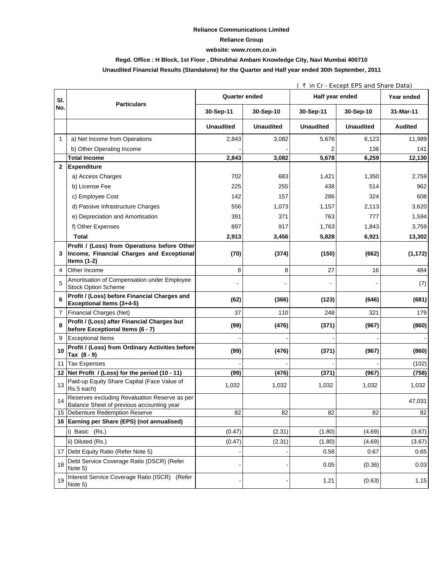### **Reliance Communications Limited**

### **Reliance Group**

#### **website: www.rcom.co.in**

## **Regd. Office : H Block, 1st Floor , Dhirubhai Ambani Knowledge City, Navi Mumbai 400710**

## **Unaudited Financial Results (Standalone) for the Quarter and Half year ended 30th September, 2011**

|              |                                                                                                            | (₹ in Cr - Except EPS and Share Data) |                  |                  |                  |                |
|--------------|------------------------------------------------------------------------------------------------------------|---------------------------------------|------------------|------------------|------------------|----------------|
| SI.          | <b>Particulars</b>                                                                                         | <b>Quarter ended</b>                  |                  | Half year ended  |                  | Year ended     |
| No.          |                                                                                                            | 30-Sep-11                             | 30-Sep-10        | 30-Sep-11        | 30-Sep-10        | 31-Mar-11      |
|              |                                                                                                            | <b>Unaudited</b>                      | <b>Unaudited</b> | <b>Unaudited</b> | <b>Unaudited</b> | <b>Audited</b> |
| 1            | a) Net Income from Operations                                                                              | 2,843                                 | 3,082            | 5,676            | 6,123            | 11,989         |
|              | b) Other Operating Income                                                                                  |                                       |                  |                  | 136              | 141            |
|              | <b>Total Income</b>                                                                                        | 2,843                                 | 3,082            | 5,678            | 6,259            | 12,130         |
| $\mathbf{2}$ | <b>Expenditure</b>                                                                                         |                                       |                  |                  |                  |                |
|              | a) Access Charges                                                                                          | 702                                   | 683              | 1,421            | 1,350            | 2,759          |
|              | b) License Fee                                                                                             | 225                                   | 255              | 438              | 514              | 962            |
|              | c) Employee Cost                                                                                           | 142                                   | 157              | 286              | 324              | 608            |
|              | d) Passive Infrastructure Charges                                                                          | 556                                   | 1,073            | 1,157            | 2,113            | 3,620          |
|              | e) Depreciation and Amortisation                                                                           | 391                                   | 371              | 763              | 777              | 1,594          |
|              | f) Other Expenses                                                                                          | 897                                   | 917              | 1,763            | 1.843            | 3,759          |
|              | <b>Total</b>                                                                                               | 2,913                                 | 3,456            | 5,828            | 6,921            | 13,302         |
| 3            | Profit / (Loss) from Operations before Other<br>Income, Financial Charges and Exceptional<br>Items $(1-2)$ | (70)                                  | (374)            | (150)            | (662)            | (1, 172)       |
| 4            | Other Income                                                                                               | 8                                     | 8                | 27               | 16               | 484            |
| 5            | Amortisation of Compensation under Employee<br><b>Stock Option Scheme</b>                                  |                                       | $\overline{a}$   |                  |                  | (7)            |
| 6            | Profit / (Loss) before Financial Charges and<br><b>Exceptional Items (3+4-5)</b>                           | (62)                                  | (366)            | (123)            | (646)            | (681)          |
| 7            | Financial Charges (Net)                                                                                    | 37                                    | 110              | 248              | 321              | 179            |
| 8            | Profit / (Loss) after Financial Charges but<br>before Exceptional Items (6 - 7)                            | (99)                                  | (476)            | (371)            | (967)            | (860)          |
| 9            | <b>Exceptional Items</b>                                                                                   |                                       |                  |                  |                  |                |
| 10           | Profit / (Loss) from Ordinary Activities before<br>Tax (8 - 9)                                             | (99)                                  | (476)            | (371)            | (967)            | (860)          |
| 11           | <b>Tax Expenses</b>                                                                                        |                                       |                  |                  |                  | (102)          |
| 12           | Net Profit / (Loss) for the period (10 - 11)                                                               | (99)                                  | (476)            | (371)            | (967)            | (758)          |
| 13           | Paid-up Equity Share Capital (Face Value of<br>Rs.5 each)                                                  | 1,032                                 | 1,032            | 1,032            | 1,032            | 1,032          |
| 14           | Reserves excluding Revaluation Reserve as per<br>Balance Sheet of previous accounting year                 |                                       |                  |                  |                  | 47,031         |
|              | 15 Debenture Redemption Reserve                                                                            | 82                                    | 82               | 82               | 82               | 82             |
|              | 16 Earning per Share (EPS) (not annualised)                                                                |                                       |                  |                  |                  |                |
|              | i) Basic (Rs.)                                                                                             | (0.47)                                | (2.31)           | (1.80)           | (4.69)           | (3.67)         |
|              | ii) Diluted (Rs.)                                                                                          | (0.47)                                | (2.31)           | (1.80)           | (4.69)           | (3.67)         |
| 17           | Debt Equity Ratio (Refer Note 5)                                                                           |                                       |                  | 0.58             | 0.67             | 0.65           |
| 18           | Debt Service Coverage Ratio (DSCR) (Refer<br>Note 5)                                                       |                                       |                  | 0.05             | (0.36)           | 0.03           |
| 19           | Interest Service Coverage Ratio (ISCR) (Refer<br>Note 5)                                                   |                                       |                  | 1.21             | (0.63)           | 1.15           |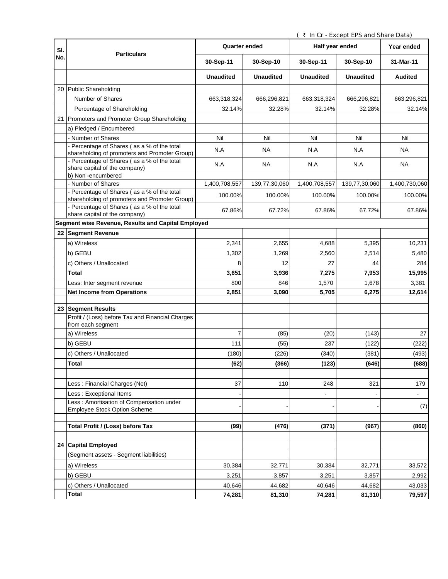( ` In Cr - Except EPS and Share Data)

| SI. | <b>Particulars</b>                                                                                | <b>Quarter ended</b> |                  | Half year ended  |                  | Year ended     |
|-----|---------------------------------------------------------------------------------------------------|----------------------|------------------|------------------|------------------|----------------|
| No. |                                                                                                   | 30-Sep-11            | 30-Sep-10        | 30-Sep-11        | 30-Sep-10        | 31-Mar-11      |
|     |                                                                                                   | <b>Unaudited</b>     | <b>Unaudited</b> | <b>Unaudited</b> | <b>Unaudited</b> | <b>Audited</b> |
|     | 20 Public Shareholding                                                                            |                      |                  |                  |                  |                |
|     | Number of Shares                                                                                  | 663,318,324          | 666,296,821      | 663,318,324      | 666,296,821      | 663,296,821    |
|     | Percentage of Shareholding                                                                        | 32.14%               | 32.28%           | 32.14%           | 32.28%           | 32.14%         |
| 21  | Promoters and Promoter Group Shareholding                                                         |                      |                  |                  |                  |                |
|     | a) Pledged / Encumbered                                                                           |                      |                  |                  |                  |                |
|     | Number of Shares                                                                                  | Nil                  | Nil              | Nil              | Nil              | Nil            |
|     | - Percentage of Shares (as a % of the total<br>shareholding of promoters and Promoter Group)      | N.A                  | <b>NA</b>        | N.A              | N.A              | <b>NA</b>      |
|     | - Percentage of Shares (as a % of the total<br>share capital of the company)<br>b) Non-encumbered | N.A                  | <b>NA</b>        | N.A              | N.A              | NA             |
|     | Number of Shares                                                                                  | 1,400,708,557        | 139,77,30,060    | 1,400,708,557    | 139,77,30,060    | 1,400,730,060  |
|     | - Percentage of Shares (as a % of the total                                                       |                      |                  |                  |                  |                |
|     | shareholding of promoters and Promoter Group)                                                     | 100.00%              | 100.00%          | 100.00%          | 100.00%          | 100.00%        |
|     | - Percentage of Shares (as a % of the total<br>share capital of the company)                      | 67.86%               | 67.72%           | 67.86%           | 67.72%           | 67.86%         |
|     | Segment wise Revenue, Results and Capital Employed                                                |                      |                  |                  |                  |                |
| 22  | <b>Segment Revenue</b>                                                                            |                      |                  |                  |                  |                |
|     | a) Wireless                                                                                       | 2,341                | 2,655            | 4,688            | 5,395            | 10,231         |
|     | b) GEBU                                                                                           | 1,302                | 1,269            | 2,560            | 2,514            | 5,480          |
|     | c) Others / Unallocated                                                                           | 8                    | 12               | 27               | 44               | 284            |
|     | Total                                                                                             | 3,651                | 3,936            | 7,275            | 7,953            | 15,995         |
|     | Less: Inter segment revenue                                                                       | 800                  | 846              | 1,570            | 1,678            | 3,381          |
|     | <b>Net Income from Operations</b>                                                                 | 2,851                | 3,090            | 5,705            | 6,275            | 12,614         |
|     |                                                                                                   |                      |                  |                  |                  |                |
|     | 23 Segment Results<br>Profit / (Loss) before Tax and Financial Charges                            |                      |                  |                  |                  |                |
|     | from each segment<br>a) Wireless                                                                  | 7                    | (85)             | (20)             | (143)            | 27             |
|     |                                                                                                   |                      |                  |                  |                  |                |
|     | b) GEBU                                                                                           | 111                  | (55)             | 237              | (122)            | (222)          |
|     | c) Others / Unallocated                                                                           | (180)                | (226)            | (340)            | (381)            | (493)          |
|     | Total                                                                                             | (62)                 | (366)            | (123)            | (646)            | (688)          |
|     |                                                                                                   |                      |                  |                  |                  |                |
|     | Less: Financial Charges (Net)                                                                     | 37                   | 110              | 248              | 321              | 179            |
|     | Less: Exceptional Items                                                                           |                      |                  |                  |                  |                |
|     | Less: Amortisation of Compensation under<br><b>Employee Stock Option Scheme</b>                   |                      |                  |                  |                  | (7)            |
|     | Total Profit / (Loss) before Tax                                                                  | (99)                 | (476)            | (371)            | (967)            | (860)          |
|     | 24 Capital Employed                                                                               |                      |                  |                  |                  |                |
|     | (Segment assets - Segment liabilities)                                                            |                      |                  |                  |                  |                |
|     | a) Wireless                                                                                       | 30,384               | 32,771           | 30,384           | 32,771           | 33,572         |
|     | b) GEBU                                                                                           | 3,251                | 3,857            | 3,251            | 3,857            | 2,992          |
|     | c) Others / Unallocated                                                                           | 40,646               | 44,682           | 40,646           | 44,682           | 43,033         |
|     | <b>Total</b>                                                                                      | 74,281               | 81,310           | 74,281           | 81,310           | 79,597         |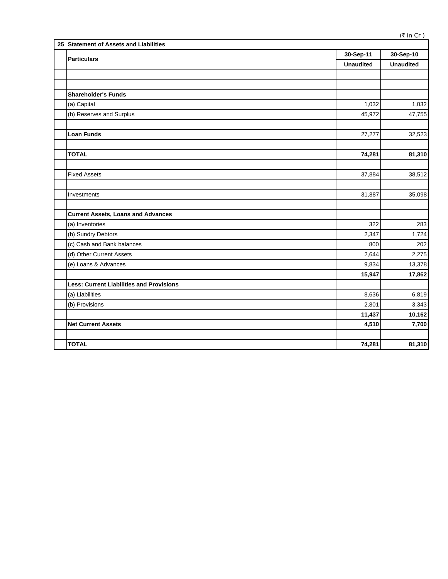|  | 25 Statement of Assets and Liabilities          |                  |                  |  |  |
|--|-------------------------------------------------|------------------|------------------|--|--|
|  | <b>Particulars</b>                              | 30-Sep-11        | 30-Sep-10        |  |  |
|  |                                                 | <b>Unaudited</b> | <b>Unaudited</b> |  |  |
|  |                                                 |                  |                  |  |  |
|  |                                                 |                  |                  |  |  |
|  | <b>Shareholder's Funds</b>                      |                  |                  |  |  |
|  | (a) Capital                                     | 1,032            | 1,032            |  |  |
|  | (b) Reserves and Surplus                        | 45,972           | 47,755           |  |  |
|  |                                                 |                  |                  |  |  |
|  | <b>Loan Funds</b>                               | 27,277           | 32,523           |  |  |
|  |                                                 |                  |                  |  |  |
|  | <b>TOTAL</b>                                    | 74,281           | 81,310           |  |  |
|  |                                                 |                  |                  |  |  |
|  | <b>Fixed Assets</b>                             | 37,884           | 38,512           |  |  |
|  |                                                 |                  |                  |  |  |
|  | Investments                                     | 31,887           | 35,098           |  |  |
|  |                                                 |                  |                  |  |  |
|  | <b>Current Assets, Loans and Advances</b>       |                  |                  |  |  |
|  | (a) Inventories                                 | 322              | 283              |  |  |
|  | (b) Sundry Debtors                              | 2,347            | 1,724            |  |  |
|  | (c) Cash and Bank balances                      | 800              | 202              |  |  |
|  | (d) Other Current Assets                        | 2,644            | 2,275            |  |  |
|  | (e) Loans & Advances                            | 9,834            | 13,378           |  |  |
|  |                                                 | 15,947           | 17,862           |  |  |
|  | <b>Less: Current Liabilities and Provisions</b> |                  |                  |  |  |
|  | (a) Liabilities                                 | 8,636            | 6,819            |  |  |
|  | (b) Provisions                                  | 2,801            | 3,343            |  |  |
|  |                                                 | 11,437           | 10,162           |  |  |
|  | <b>Net Current Assets</b>                       | 4,510            | 7,700            |  |  |
|  |                                                 |                  |                  |  |  |
|  | <b>TOTAL</b>                                    | 74,281           | 81,310           |  |  |